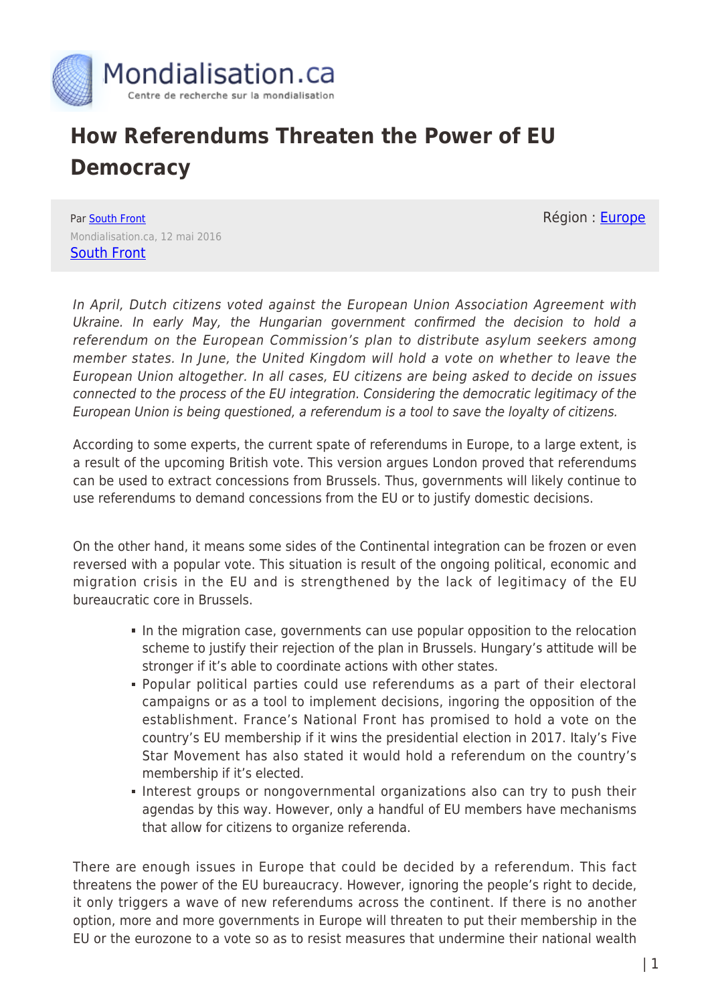

## **How Referendums Threaten the Power of EU Democracy**

Région : **Europe** 

Par [South Front](https://www.mondialisation.ca/author/southfront) Mondialisation.ca, 12 mai 2016 [South Front](https://southfront.org/how-referendums-threaten-the-power-of-the-eu-bureaucracy/)

In April, Dutch citizens voted against the European Union Association Agreement with Ukraine. In early May, the Hungarian government confirmed the decision to hold a referendum on the European Commission's plan to distribute asylum seekers among member states. In June, the United Kingdom will hold a vote on whether to leave the European Union altogether. In all cases, EU citizens are being asked to decide on issues connected to the process of the EU integration. Considering the democratic legitimacy of the European Union is being questioned, a referendum is a tool to save the loyalty of citizens.

According to some experts, the current spate of referendums in Europe, to a large extent, is a result of the upcoming British vote. This version argues London proved that referendums can be used to extract concessions from Brussels. Thus, governments will likely continue to use referendums to demand concessions from the EU or to justify domestic decisions.

On the other hand, it means some sides of the Continental integration can be frozen or even reversed with a popular vote. This situation is result of the ongoing political, economic and migration crisis in the EU and is strengthened by the lack of legitimacy of the EU bureaucratic core in Brussels.

- In the migration case, governments can use popular opposition to the relocation scheme to justify their rejection of the plan in Brussels. Hungary's attitude will be stronger if it's able to coordinate actions with other states.
- Popular political parties could use referendums as a part of their electoral campaigns or as a tool to implement decisions, ingoring the opposition of the establishment. France's National Front has promised to hold a vote on the country's EU membership if it wins the presidential election in 2017. Italy's Five Star Movement has also stated it would hold a referendum on the country's membership if it's elected.
- Interest groups or nongovernmental organizations also can try to push their agendas by this way. However, only a handful of EU members have mechanisms that allow for citizens to organize referenda.

There are enough issues in Europe that could be decided by a referendum. This fact threatens the power of the EU bureaucracy. However, ignoring the people's right to decide, it only triggers a wave of new referendums across the continent. If there is no another option, more and more governments in Europe will threaten to put their membership in the EU or the eurozone to a vote so as to resist measures that undermine their national wealth